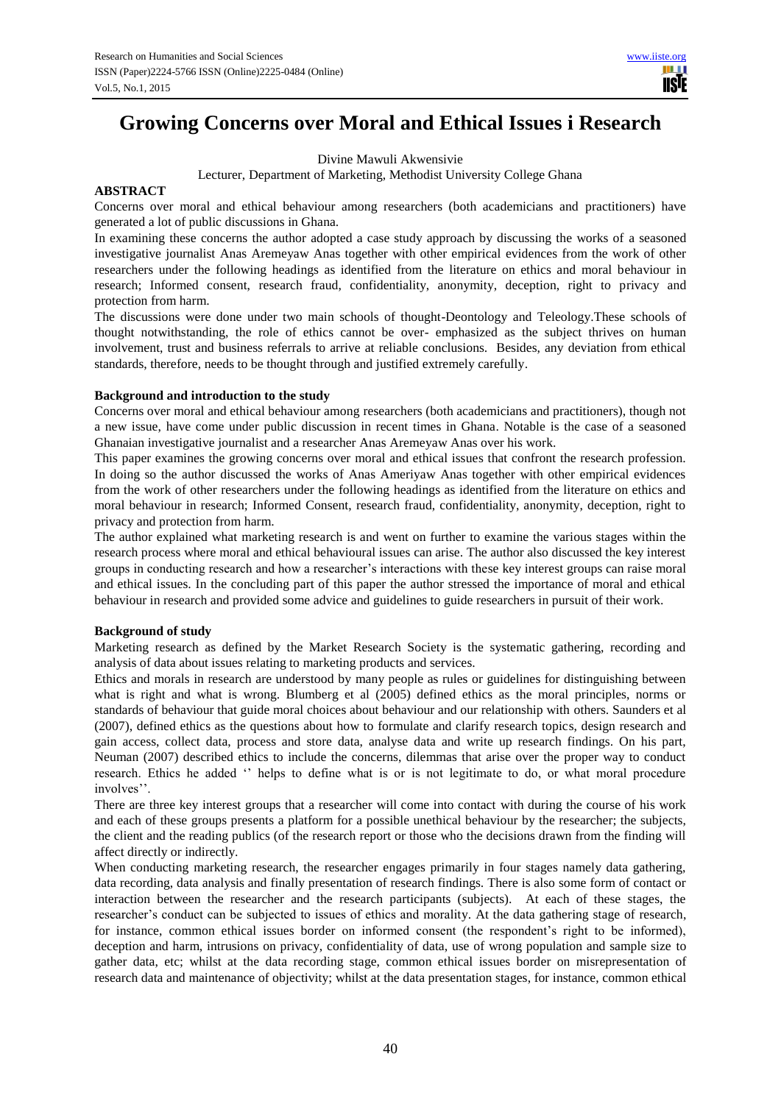# **Growing Concerns over Moral and Ethical Issues i Research**

Divine Mawuli Akwensivie

Lecturer, Department of Marketing, Methodist University College Ghana

# **ABSTRACT**

Concerns over moral and ethical behaviour among researchers (both academicians and practitioners) have generated a lot of public discussions in Ghana.

In examining these concerns the author adopted a case study approach by discussing the works of a seasoned investigative journalist Anas Aremeyaw Anas together with other empirical evidences from the work of other researchers under the following headings as identified from the literature on ethics and moral behaviour in research; Informed consent, research fraud, confidentiality, anonymity, deception, right to privacy and protection from harm.

The discussions were done under two main schools of thought-Deontology and Teleology.These schools of thought notwithstanding, the role of ethics cannot be over- emphasized as the subject thrives on human involvement, trust and business referrals to arrive at reliable conclusions. Besides, any deviation from ethical standards, therefore, needs to be thought through and justified extremely carefully.

# **Background and introduction to the study**

Concerns over moral and ethical behaviour among researchers (both academicians and practitioners), though not a new issue, have come under public discussion in recent times in Ghana. Notable is the case of a seasoned Ghanaian investigative journalist and a researcher Anas Aremeyaw Anas over his work.

This paper examines the growing concerns over moral and ethical issues that confront the research profession. In doing so the author discussed the works of Anas Ameriyaw Anas together with other empirical evidences from the work of other researchers under the following headings as identified from the literature on ethics and moral behaviour in research; Informed Consent, research fraud, confidentiality, anonymity, deception, right to privacy and protection from harm.

The author explained what marketing research is and went on further to examine the various stages within the research process where moral and ethical behavioural issues can arise. The author also discussed the key interest groups in conducting research and how a researcher's interactions with these key interest groups can raise moral and ethical issues. In the concluding part of this paper the author stressed the importance of moral and ethical behaviour in research and provided some advice and guidelines to guide researchers in pursuit of their work.

# **Background of study**

Marketing research as defined by the Market Research Society is the systematic gathering, recording and analysis of data about issues relating to marketing products and services.

Ethics and morals in research are understood by many people as rules or guidelines for distinguishing between what is right and what is wrong. Blumberg et al (2005) defined ethics as the moral principles, norms or standards of behaviour that guide moral choices about behaviour and our relationship with others. Saunders et al (2007), defined ethics as the questions about how to formulate and clarify research topics, design research and gain access, collect data, process and store data, analyse data and write up research findings. On his part, Neuman (2007) described ethics to include the concerns, dilemmas that arise over the proper way to conduct research. Ethics he added '' helps to define what is or is not legitimate to do, or what moral procedure involves''.

There are three key interest groups that a researcher will come into contact with during the course of his work and each of these groups presents a platform for a possible unethical behaviour by the researcher; the subjects, the client and the reading publics (of the research report or those who the decisions drawn from the finding will affect directly or indirectly.

When conducting marketing research, the researcher engages primarily in four stages namely data gathering, data recording, data analysis and finally presentation of research findings. There is also some form of contact or interaction between the researcher and the research participants (subjects). At each of these stages, the researcher's conduct can be subjected to issues of ethics and morality. At the data gathering stage of research, for instance, common ethical issues border on informed consent (the respondent's right to be informed), deception and harm, intrusions on privacy, confidentiality of data, use of wrong population and sample size to gather data, etc; whilst at the data recording stage, common ethical issues border on misrepresentation of research data and maintenance of objectivity; whilst at the data presentation stages, for instance, common ethical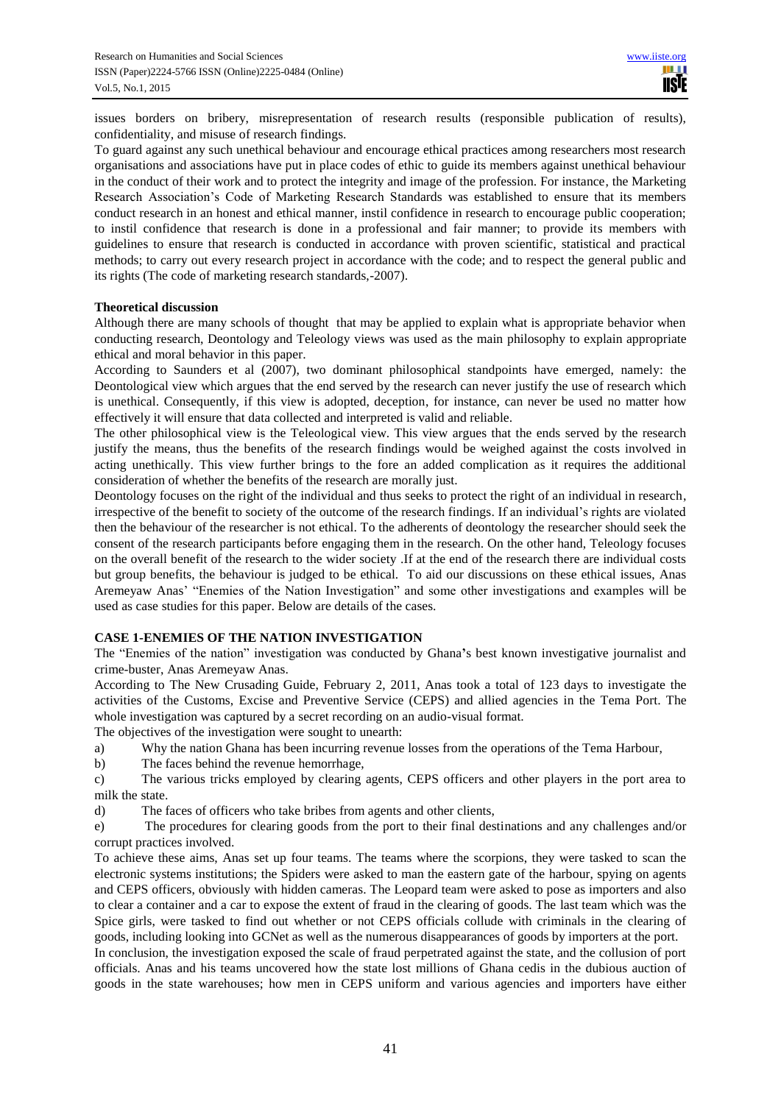issues borders on bribery, misrepresentation of research results (responsible publication of results), confidentiality, and misuse of research findings.

To guard against any such unethical behaviour and encourage ethical practices among researchers most research organisations and associations have put in place codes of ethic to guide its members against unethical behaviour in the conduct of their work and to protect the integrity and image of the profession. For instance, the Marketing Research Association's Code of Marketing Research Standards was established to ensure that its members conduct research in an honest and ethical manner, instil confidence in research to encourage public cooperation; to instil confidence that research is done in a professional and fair manner; to provide its members with guidelines to ensure that research is conducted in accordance with proven scientific, statistical and practical methods; to carry out every research project in accordance with the code; and to respect the general public and its rights (The code of marketing research standards,-2007).

## **Theoretical discussion**

Although there are many schools of thought that may be applied to explain what is appropriate behavior when conducting research, Deontology and Teleology views was used as the main philosophy to explain appropriate ethical and moral behavior in this paper.

According to Saunders et al (2007), two dominant philosophical standpoints have emerged, namely: the Deontological view which argues that the end served by the research can never justify the use of research which is unethical. Consequently, if this view is adopted, deception, for instance, can never be used no matter how effectively it will ensure that data collected and interpreted is valid and reliable.

The other philosophical view is the Teleological view. This view argues that the ends served by the research justify the means, thus the benefits of the research findings would be weighed against the costs involved in acting unethically. This view further brings to the fore an added complication as it requires the additional consideration of whether the benefits of the research are morally just.

Deontology focuses on the right of the individual and thus seeks to protect the right of an individual in research, irrespective of the benefit to society of the outcome of the research findings. If an individual's rights are violated then the behaviour of the researcher is not ethical. To the adherents of deontology the researcher should seek the consent of the research participants before engaging them in the research. On the other hand, Teleology focuses on the overall benefit of the research to the wider society .If at the end of the research there are individual costs but group benefits, the behaviour is judged to be ethical. To aid our discussions on these ethical issues, Anas Aremeyaw Anas' "Enemies of the Nation Investigation" and some other investigations and examples will be used as case studies for this paper. Below are details of the cases.

# **CASE 1-ENEMIES OF THE NATION INVESTIGATION**

The "Enemies of the nation" investigation was conducted by Ghana**'**s best known investigative journalist and crime-buster, Anas Aremeyaw Anas.

According to The New Crusading Guide, February 2, 2011, Anas took a total of 123 days to investigate the activities of the Customs, Excise and Preventive Service (CEPS) and allied agencies in the Tema Port. The whole investigation was captured by a secret recording on an audio-visual format.

The objectives of the investigation were sought to unearth:

- a) Why the nation Ghana has been incurring revenue losses from the operations of the Tema Harbour,
- b) The faces behind the revenue hemorrhage,

c) The various tricks employed by clearing agents, CEPS officers and other players in the port area to milk the state.

d) The faces of officers who take bribes from agents and other clients,

e) The procedures for clearing goods from the port to their final destinations and any challenges and/or corrupt practices involved.

To achieve these aims, Anas set up four teams. The teams where the scorpions, they were tasked to scan the electronic systems institutions; the Spiders were asked to man the eastern gate of the harbour, spying on agents and CEPS officers, obviously with hidden cameras. The Leopard team were asked to pose as importers and also to clear a container and a car to expose the extent of fraud in the clearing of goods. The last team which was the Spice girls, were tasked to find out whether or not CEPS officials collude with criminals in the clearing of goods, including looking into GCNet as well as the numerous disappearances of goods by importers at the port.

In conclusion, the investigation exposed the scale of fraud perpetrated against the state, and the collusion of port officials. Anas and his teams uncovered how the state lost millions of Ghana cedis in the dubious auction of goods in the state warehouses; how men in CEPS uniform and various agencies and importers have either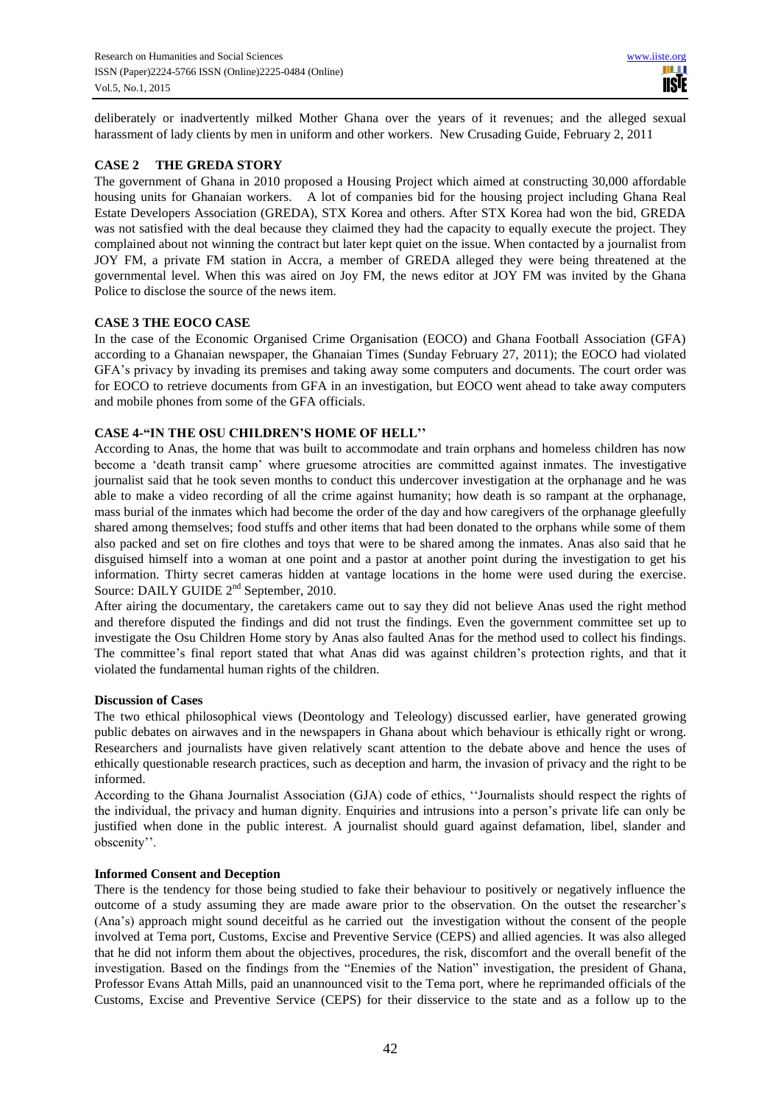deliberately or inadvertently milked Mother Ghana over the years of it revenues; and the alleged sexual harassment of lady clients by men in uniform and other workers. New Crusading Guide, February 2, 2011

# **CASE 2 THE GREDA STORY**

The government of Ghana in 2010 proposed a Housing Project which aimed at constructing 30,000 affordable housing units for Ghanaian workers. A lot of companies bid for the housing project including Ghana Real Estate Developers Association (GREDA), STX Korea and others. After STX Korea had won the bid, GREDA was not satisfied with the deal because they claimed they had the capacity to equally execute the project. They complained about not winning the contract but later kept quiet on the issue. When contacted by a journalist from JOY FM, a private FM station in Accra, a member of GREDA alleged they were being threatened at the governmental level. When this was aired on Joy FM, the news editor at JOY FM was invited by the Ghana Police to disclose the source of the news item.

# **CASE 3 THE EOCO CASE**

In the case of the Economic Organised Crime Organisation (EOCO) and Ghana Football Association (GFA) according to a Ghanaian newspaper, the Ghanaian Times (Sunday February 27, 2011); the EOCO had violated GFA's privacy by invading its premises and taking away some computers and documents. The court order was for EOCO to retrieve documents from GFA in an investigation, but EOCO went ahead to take away computers and mobile phones from some of the GFA officials.

# **CASE 4-"IN THE OSU CHILDREN'S HOME OF HELL''**

According to Anas, the home that was built to accommodate and train orphans and homeless children has now become a 'death transit camp' where gruesome atrocities are committed against inmates. The investigative journalist said that he took seven months to conduct this undercover investigation at the orphanage and he was able to make a video recording of all the crime against humanity; how death is so rampant at the orphanage, mass burial of the inmates which had become the order of the day and how caregivers of the orphanage gleefully shared among themselves; food stuffs and other items that had been donated to the orphans while some of them also packed and set on fire clothes and toys that were to be shared among the inmates. Anas also said that he disguised himself into a woman at one point and a pastor at another point during the investigation to get his information. Thirty secret cameras hidden at vantage locations in the home were used during the exercise. Source: DAILY GUIDE 2<sup>nd</sup> September, 2010.

After airing the documentary, the caretakers came out to say they did not believe Anas used the right method and therefore disputed the findings and did not trust the findings. Even the government committee set up to investigate the Osu Children Home story by Anas also faulted Anas for the method used to collect his findings. The committee's final report stated that what Anas did was against children's protection rights, and that it violated the fundamental human rights of the children.

# **Discussion of Cases**

The two ethical philosophical views (Deontology and Teleology) discussed earlier, have generated growing public debates on airwaves and in the newspapers in Ghana about which behaviour is ethically right or wrong. Researchers and journalists have given relatively scant attention to the debate above and hence the uses of ethically questionable research practices, such as deception and harm, the invasion of privacy and the right to be informed.

According to the Ghana Journalist Association (GJA) code of ethics, ''Journalists should respect the rights of the individual, the privacy and human dignity. Enquiries and intrusions into a person's private life can only be justified when done in the public interest. A journalist should guard against defamation, libel, slander and obscenity''.

# **Informed Consent and Deception**

There is the tendency for those being studied to fake their behaviour to positively or negatively influence the outcome of a study assuming they are made aware prior to the observation. On the outset the researcher's (Ana's) approach might sound deceitful as he carried out the investigation without the consent of the people involved at Tema port, Customs, Excise and Preventive Service (CEPS) and allied agencies. It was also alleged that he did not inform them about the objectives, procedures, the risk, discomfort and the overall benefit of the investigation. Based on the findings from the "Enemies of the Nation" investigation, the president of Ghana, Professor Evans Attah Mills, paid an unannounced visit to the Tema port, where he reprimanded officials of the Customs, Excise and Preventive Service (CEPS) for their disservice to the state and as a follow up to the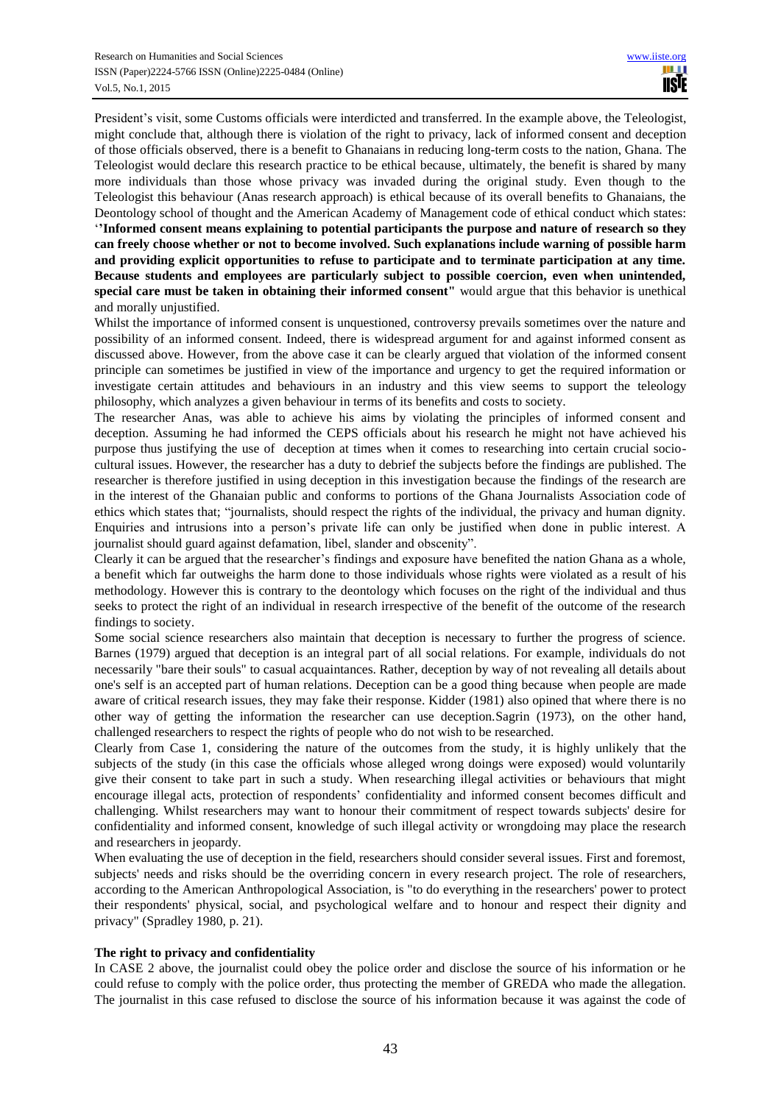President's visit, some Customs officials were interdicted and transferred. In the example above, the Teleologist, might conclude that, although there is violation of the right to privacy, lack of informed consent and deception of those officials observed, there is a benefit to Ghanaians in reducing long-term costs to the nation, Ghana. The Teleologist would declare this research practice to be ethical because, ultimately, the benefit is shared by many more individuals than those whose privacy was invaded during the original study. Even though to the Teleologist this behaviour (Anas research approach) is ethical because of its overall benefits to Ghanaians, the Deontology school of thought and the American Academy of Management code of ethical conduct which states: '**'Informed consent means explaining to potential participants the purpose and nature of research so they can freely choose whether or not to become involved. Such explanations include warning of possible harm and providing explicit opportunities to refuse to participate and to terminate participation at any time. Because students and employees are particularly subject to possible coercion, even when unintended, special care must be taken in obtaining their informed consent"** would argue that this behavior is unethical and morally unjustified.

Whilst the importance of informed consent is unquestioned, controversy prevails sometimes over the nature and possibility of an informed consent. Indeed, there is widespread argument for and against informed consent as discussed above. However, from the above case it can be clearly argued that violation of the informed consent principle can sometimes be justified in view of the importance and urgency to get the required information or investigate certain attitudes and behaviours in an industry and this view seems to support the teleology philosophy, which analyzes a given behaviour in terms of its benefits and costs to society.

The researcher Anas, was able to achieve his aims by violating the principles of informed consent and deception. Assuming he had informed the CEPS officials about his research he might not have achieved his purpose thus justifying the use of deception at times when it comes to researching into certain crucial sociocultural issues. However, the researcher has a duty to debrief the subjects before the findings are published. The researcher is therefore justified in using deception in this investigation because the findings of the research are in the interest of the Ghanaian public and conforms to portions of the Ghana Journalists Association code of ethics which states that; "journalists, should respect the rights of the individual, the privacy and human dignity. Enquiries and intrusions into a person's private life can only be justified when done in public interest. A journalist should guard against defamation, libel, slander and obscenity".

Clearly it can be argued that the researcher's findings and exposure have benefited the nation Ghana as a whole, a benefit which far outweighs the harm done to those individuals whose rights were violated as a result of his methodology. However this is contrary to the deontology which focuses on the right of the individual and thus seeks to protect the right of an individual in research irrespective of the benefit of the outcome of the research findings to society.

Some social science researchers also maintain that deception is necessary to further the progress of science. Barnes (1979) argued that deception is an integral part of all social relations. For example, individuals do not necessarily "bare their souls" to casual acquaintances. Rather, deception by way of not revealing all details about one's self is an accepted part of human relations. Deception can be a good thing because when people are made aware of critical research issues, they may fake their response. Kidder (1981) also opined that where there is no other way of getting the information the researcher can use deception.Sagrin (1973), on the other hand, challenged researchers to respect the rights of people who do not wish to be researched.

Clearly from Case 1, considering the nature of the outcomes from the study, it is highly unlikely that the subjects of the study (in this case the officials whose alleged wrong doings were exposed) would voluntarily give their consent to take part in such a study. When researching illegal activities or behaviours that might encourage illegal acts, protection of respondents' confidentiality and informed consent becomes difficult and challenging. Whilst researchers may want to honour their commitment of respect towards subjects' desire for confidentiality and informed consent, knowledge of such illegal activity or wrongdoing may place the research and researchers in jeopardy.

When evaluating the use of deception in the field, researchers should consider several issues. First and foremost, subjects' needs and risks should be the overriding concern in every research project. The role of researchers, according to the American Anthropological Association, is "to do everything in the researchers' power to protect their respondents' physical, social, and psychological welfare and to honour and respect their dignity and privacy" (Spradley 1980, p. 21).

# **The right to privacy and confidentiality**

In CASE 2 above, the journalist could obey the police order and disclose the source of his information or he could refuse to comply with the police order, thus protecting the member of GREDA who made the allegation. The journalist in this case refused to disclose the source of his information because it was against the code of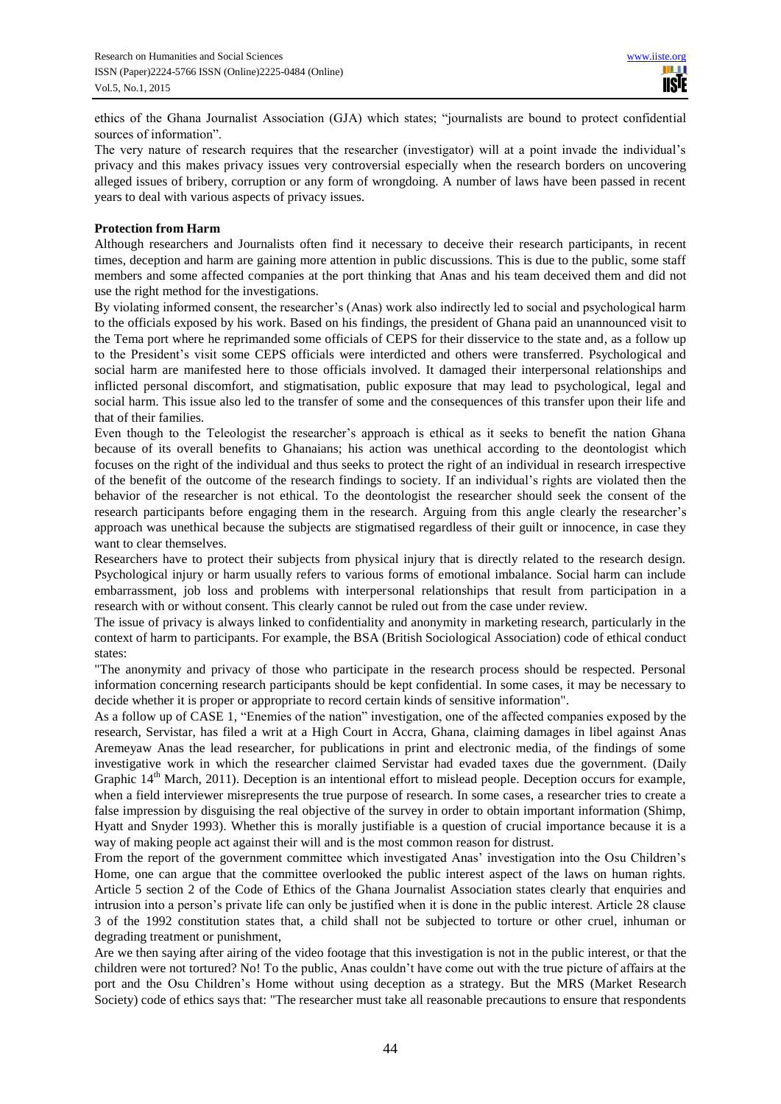ethics of the Ghana Journalist Association (GJA) which states; "journalists are bound to protect confidential sources of information".

The very nature of research requires that the researcher (investigator) will at a point invade the individual's privacy and this makes privacy issues very controversial especially when the research borders on uncovering alleged issues of bribery, corruption or any form of wrongdoing. A number of laws have been passed in recent years to deal with various aspects of privacy issues.

## **Protection from Harm**

Although researchers and Journalists often find it necessary to deceive their research participants, in recent times, deception and harm are gaining more attention in public discussions. This is due to the public, some staff members and some affected companies at the port thinking that Anas and his team deceived them and did not use the right method for the investigations.

By violating informed consent, the researcher's (Anas) work also indirectly led to social and psychological harm to the officials exposed by his work. Based on his findings, the president of Ghana paid an unannounced visit to the Tema port where he reprimanded some officials of CEPS for their disservice to the state and, as a follow up to the President's visit some CEPS officials were interdicted and others were transferred. Psychological and social harm are manifested here to those officials involved. It damaged their interpersonal relationships and inflicted personal discomfort, and stigmatisation, public exposure that may lead to psychological, legal and social harm. This issue also led to the transfer of some and the consequences of this transfer upon their life and that of their families.

Even though to the Teleologist the researcher's approach is ethical as it seeks to benefit the nation Ghana because of its overall benefits to Ghanaians; his action was unethical according to the deontologist which focuses on the right of the individual and thus seeks to protect the right of an individual in research irrespective of the benefit of the outcome of the research findings to society. If an individual's rights are violated then the behavior of the researcher is not ethical. To the deontologist the researcher should seek the consent of the research participants before engaging them in the research. Arguing from this angle clearly the researcher's approach was unethical because the subjects are stigmatised regardless of their guilt or innocence, in case they want to clear themselves.

Researchers have to protect their subjects from physical injury that is directly related to the research design. Psychological injury or harm usually refers to various forms of emotional imbalance. Social harm can include embarrassment, job loss and problems with interpersonal relationships that result from participation in a research with or without consent. This clearly cannot be ruled out from the case under review.

The issue of privacy is always linked to confidentiality and anonymity in marketing research, particularly in the context of harm to participants. For example, the BSA (British Sociological Association) code of ethical conduct states:

"The anonymity and privacy of those who participate in the research process should be respected. Personal information concerning research participants should be kept confidential. In some cases, it may be necessary to decide whether it is proper or appropriate to record certain kinds of sensitive information".

As a follow up of CASE 1, "Enemies of the nation" investigation, one of the affected companies exposed by the research, Servistar, has filed a writ at a High Court in Accra, Ghana, claiming damages in libel against Anas Aremeyaw Anas the lead researcher, for publications in print and electronic media, of the findings of some investigative work in which the researcher claimed Servistar had evaded taxes due the government. (Daily Graphic  $14<sup>th</sup>$  March, 2011). Deception is an intentional effort to mislead people. Deception occurs for example, when a field interviewer misrepresents the true purpose of research. In some cases, a researcher tries to create a false impression by disguising the real objective of the survey in order to obtain important information (Shimp, Hyatt and Snyder 1993). Whether this is morally justifiable is a question of crucial importance because it is a way of making people act against their will and is the most common reason for distrust.

From the report of the government committee which investigated Anas' investigation into the Osu Children's Home, one can argue that the committee overlooked the public interest aspect of the laws on human rights. Article 5 section 2 of the Code of Ethics of the Ghana Journalist Association states clearly that enquiries and intrusion into a person's private life can only be justified when it is done in the public interest. Article 28 clause 3 of the 1992 constitution states that, a child shall not be subjected to torture or other cruel, inhuman or degrading treatment or punishment,

Are we then saying after airing of the video footage that this investigation is not in the public interest, or that the children were not tortured? No! To the public, Anas couldn't have come out with the true picture of affairs at the port and the Osu Children's Home without using deception as a strategy. But the MRS (Market Research Society) code of ethics says that: "The researcher must take all reasonable precautions to ensure that respondents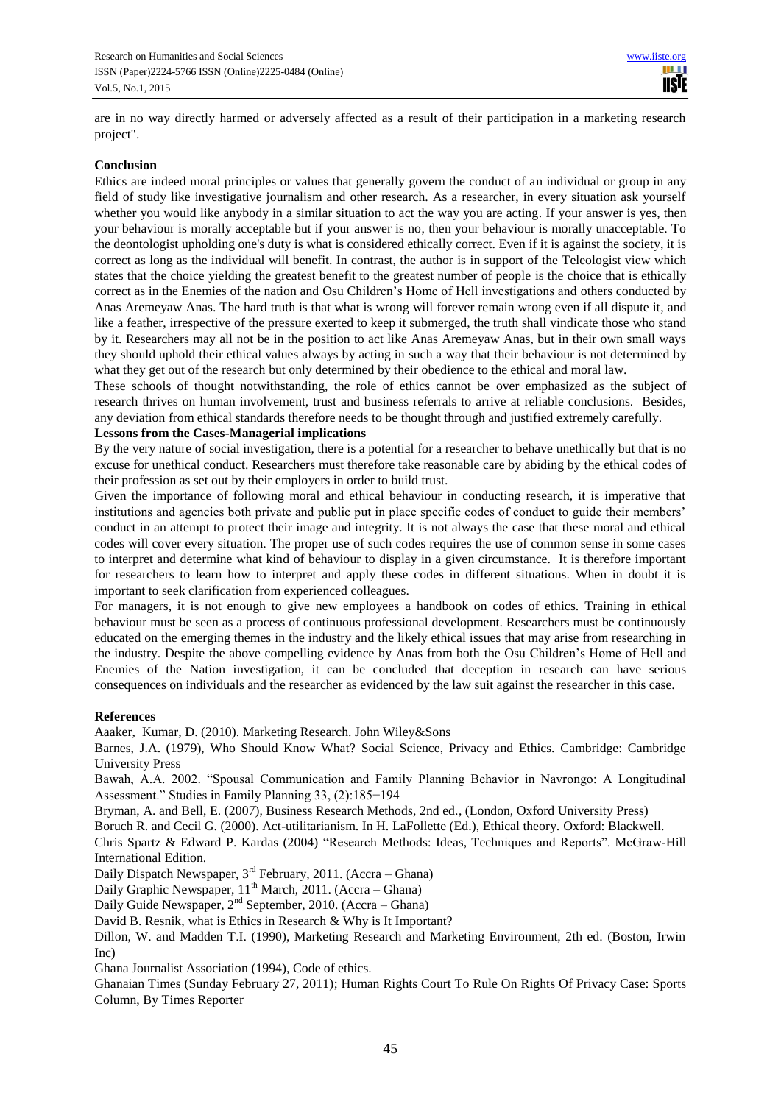are in no way directly harmed or adversely affected as a result of their participation in a marketing research project".

## **Conclusion**

Ethics are indeed moral principles or values that generally govern the conduct of an individual or group in any field of study like investigative journalism and other research. As a researcher, in every situation ask yourself whether you would like anybody in a similar situation to act the way you are acting. If your answer is yes, then your behaviour is morally acceptable but if your answer is no, then your behaviour is morally unacceptable. To the deontologist upholding one's duty is what is considered ethically correct. Even if it is against the society, it is correct as long as the individual will benefit. In contrast, the author is in support of the Teleologist view which states that the choice yielding the greatest benefit to the greatest number of people is the choice that is ethically correct as in the Enemies of the nation and Osu Children's Home of Hell investigations and others conducted by Anas Aremeyaw Anas. The hard truth is that what is wrong will forever remain wrong even if all dispute it, and like a feather, irrespective of the pressure exerted to keep it submerged, the truth shall vindicate those who stand by it. Researchers may all not be in the position to act like Anas Aremeyaw Anas, but in their own small ways they should uphold their ethical values always by acting in such a way that their behaviour is not determined by what they get out of the research but only determined by their obedience to the ethical and moral law.

These schools of thought notwithstanding, the role of ethics cannot be over emphasized as the subject of research thrives on human involvement, trust and business referrals to arrive at reliable conclusions. Besides, any deviation from ethical standards therefore needs to be thought through and justified extremely carefully.

### **Lessons from the Cases-Managerial implications**

By the very nature of social investigation, there is a potential for a researcher to behave unethically but that is no excuse for unethical conduct. Researchers must therefore take reasonable care by abiding by the ethical codes of their profession as set out by their employers in order to build trust.

Given the importance of following moral and ethical behaviour in conducting research, it is imperative that institutions and agencies both private and public put in place specific codes of conduct to guide their members' conduct in an attempt to protect their image and integrity. It is not always the case that these moral and ethical codes will cover every situation. The proper use of such codes requires the use of common sense in some cases to interpret and determine what kind of behaviour to display in a given circumstance. It is therefore important for researchers to learn how to interpret and apply these codes in different situations. When in doubt it is important to seek clarification from experienced colleagues.

For managers, it is not enough to give new employees a handbook on codes of ethics. Training in ethical behaviour must be seen as a process of continuous professional development. Researchers must be continuously educated on the emerging themes in the industry and the likely ethical issues that may arise from researching in the industry. Despite the above compelling evidence by Anas from both the Osu Children's Home of Hell and Enemies of the Nation investigation, it can be concluded that deception in research can have serious consequences on individuals and the researcher as evidenced by the law suit against the researcher in this case.

#### **References**

Aaaker, Kumar, D. (2010). Marketing Research. John Wiley&Sons

Barnes, J.A. (1979), Who Should Know What? Social Science, Privacy and Ethics. Cambridge: Cambridge University Press

Bawah, A.A. 2002. "Spousal Communication and Family Planning Behavior in Navrongo: A Longitudinal Assessment." Studies in Family Planning 33, (2):185−194

Bryman, A. and Bell, E. (2007), Business Research Methods, 2nd ed., (London, Oxford University Press)

Boruch R. and Cecil G. (2000). Act-utilitarianism. In H. LaFollette (Ed.), Ethical theory. Oxford: Blackwell.

Chris Spartz & Edward P. Kardas (2004) "Research Methods: Ideas, Techniques and Reports". McGraw-Hill International Edition.

Daily Dispatch Newspaper,  $3<sup>rd</sup>$  February, 2011. (Accra – Ghana)

Daily Graphic Newspaper,  $11<sup>th</sup>$  March, 2011. (Accra – Ghana)

Daily Guide Newspaper, 2<sup>nd</sup> September, 2010. (Accra – Ghana)

David B. Resnik, what is Ethics in Research & Why is It Important?

Dillon, W. and Madden T.I. (1990), Marketing Research and Marketing Environment, 2th ed. (Boston, Irwin Inc)

Ghana Journalist Association (1994), Code of ethics.

Ghanaian Times (Sunday February 27, 2011); Human Rights Court To Rule On Rights Of Privacy Case: Sports Column, By Times Reporter